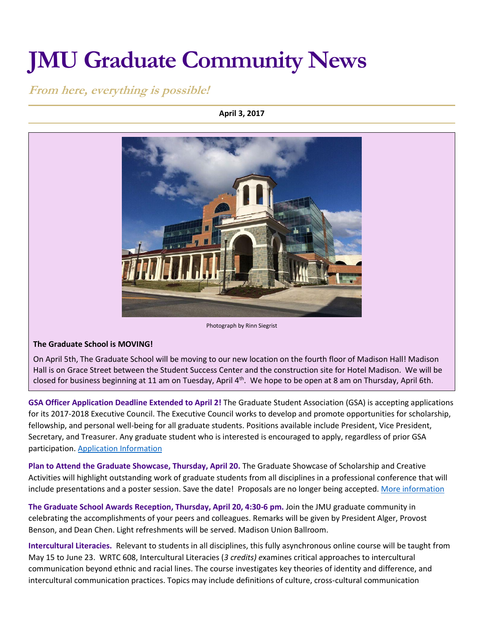# **JMU Graduate Community News**

## **From here, everything is possible!**

#### **April 3, 2017**



#### **The Graduate School is MOVING!**

On April 5th, The Graduate School will be moving to our new location on the fourth floor of Madison Hall! Madison Hall is on Grace Street between the Student Success Center and the construction site for Hotel Madison. We will be closed for business beginning at 11 am on Tuesday, April  $4<sup>th</sup>$ . We hope to be open at 8 am on Thursday, April 6th.

**GSA Officer Application Deadline Extended to April 2!** The Graduate Student Association (GSA) is accepting applications for its 2017-2018 Executive Council. The Executive Council works to develop and promote opportunities for scholarship, fellowship, and personal well-being for all graduate students. Positions available include President, Vice President, Secretary, and Treasurer. Any graduate student who is interested is encouraged to apply, regardless of prior GSA participation. [Application Information](https://docs.google.com/document/d/16l8wsAqtJB9OU32vUkMtmL94n0UwEHGCKFJ6SLKpa_c/edit)

**Plan to Attend the Graduate Showcase, Thursday, April 20.** The Graduate Showcase of Scholarship and Creative Activities will highlight outstanding work of graduate students from all disciplines in a professional conference that will include presentations and a poster session. Save the date! Proposals are no longer being accepted. [More information](http://www.jmu.edu/grad/GraduateShowcase/Showcase2017.shtml)

**The Graduate School Awards Reception, Thursday, April 20, 4:30-6 pm.** Join the JMU graduate community in celebrating the accomplishments of your peers and colleagues. Remarks will be given by President Alger, Provost Benson, and Dean Chen. Light refreshments will be served. Madison Union Ballroom.

**Intercultural Literacies.** Relevant to students in all disciplines, this fully asynchronous online course will be taught from May 15 to June 23. WRTC 608, Intercultural Literacies (*3 credits) e*xamines critical approaches to intercultural communication beyond ethnic and racial lines. The course investigates key theories of identity and difference, and intercultural communication practices. Topics may include definitions of culture, cross-cultural communication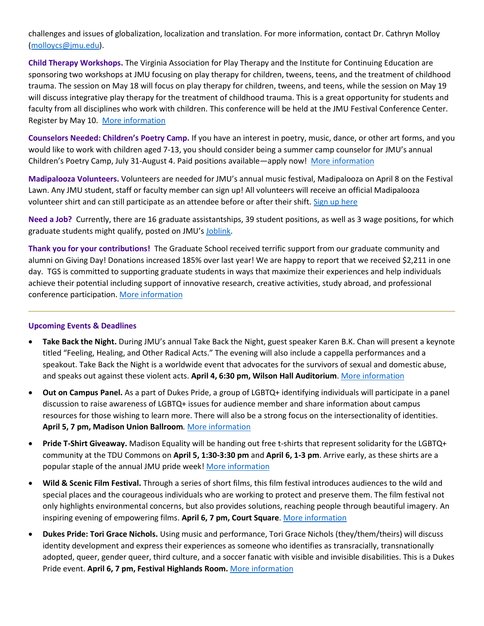challenges and issues of globalization, localization and translation. For more information, contact Dr. Cathryn Molloy [\(molloycs@jmu.edu\)](mailto:molloycs@jmu.edu).

**Child Therapy Workshops.** The Virginia Association for Play Therapy and the Institute for Continuing Education are sponsoring two workshops at JMU focusing on play therapy for children, tweens, teens, and the treatment of childhood trauma. The session on May 18 will focus on play therapy for children, tweens, and teens, while the session on May 19 will discuss integrative play therapy for the treatment of childhood trauma. This is a great opportunity for students and faculty from all disciplines who work with children. This conference will be held at the JMU Festival Conference Center. Register by May 10. [More information](http://vapt.cisat.jmu.edu/summerconference17/index.html)

**Counselors Needed: Children's Poetry Camp.** If you have an interest in poetry, music, dance, or other art forms, and you would like to work with children aged 7-13, you should consider being a summer camp counselor for JMU's annual Children's Poetry Camp, July 31-August 4. Paid positions available—apply now! [More information](http://www.jmu.edu/events/furiousflower/2017/07/31-poetry-camp.shtml)

**Madipalooza Volunteers.** Volunteers are needed for JMU's annual music festival, Madipalooza on April 8 on the Festival Lawn. Any JMU student, staff or faculty member can sign up! All volunteers will receive an official Madipalooza volunteer shirt and can still participate as an attendee before or after their shift[. Sign up here](https://signup.com/client/invitation/6775657374/1782591/false#!1782591/false/false)

**Need a Job?** Currently, there are 16 graduate assistantships, 39 student positions, as well as 3 wage positions, for which graduate students might qualify, posted on JMU's [Joblink.](https://joblink.jmu.edu/applicants/jsp/shared/frameset/Frameset.jsp?time=1472213991546)

**Thank you for your contributions!** The Graduate School received terrific support from our graduate community and alumni on Giving Day! Donations increased 185% over last year! We are happy to report that we received \$2,211 in one day. TGS is committed to supporting graduate students in ways that maximize their experiences and help individuals achieve their potential including support of innovative research, creative activities, study abroad, and professional conference participation. [More information](http://www.jmu.edu/grad/grad-school-giving/graduate-giving-page.shtml)

#### **Upcoming Events & Deadlines**

- **Take Back the Night.** During JMU's annual Take Back the Night, guest speaker Karen B.K. Chan will present a keynote titled "Feeling, Healing, and Other Radical Acts." The evening will also include a cappella performances and a speakout. Take Back the Night is a worldwide event that advocates for the survivors of sexual and domestic abuse, and speaks out against these violent acts. **April 4, 6:30 pm, Wilson Hall Auditorium**[. More information](https://www.jmu.edu/events/healthcenter/2017/04-tbtn.shtml)
- **Out on Campus Panel.** As a part of Dukes Pride, a group of LGBTQ+ identifying individuals will participate in a panel discussion to raise awareness of LGBTQ+ issues for audience member and share information about campus resources for those wishing to learn more. There will also be a strong focus on the intersectionality of identities. **April 5, 7 pm, Madison Union Ballroom***.* [More information](http://www.jmu.edu/events/lgbta/2017/05-out-campus.shtml)
- **Pride T-Shirt Giveaway.** Madison Equality will be handing out free t-shirts that represent solidarity for the LGBTQ+ community at the TDU Commons on **April 5, 1:30-3:30 pm** and **April 6, 1-3 pm**. Arrive early, as these shirts are a popular staple of the annual JMU pride week! [More information](http://www.jmu.edu/events/lgbta/2017/04-05-dukes-pride-t-shirt-giveaway.shtml)
- **Wild & Scenic Film Festival.** Through a series of short films, this film festival introduces audiences to the wild and special places and the courageous individuals who are working to protect and preserve them. The film festival not only highlights environmental concerns, but also provides solutions, reaching people through beautiful imagery. An inspiring evening of empowering films. **April 6, 7 pm, Court Square**[. More information](https://tockify.com/downtownharrisonburg/detail/560/1491519600000)
- **Dukes Pride: Tori Grace Nichols.** Using music and performance, Tori Grace Nichols (they/them/theirs) will discuss identity development and express their experiences as someone who identifies as transracially, transnationally adopted, queer, gender queer, third culture, and a soccer fanatic with visible and invisible disabilities. This is a Dukes Pride event. **April 6, 7 pm, Festival Highlands Room.** [More information](http://www.jmu.edu/events/lgbta/2017/06-tori.shtml)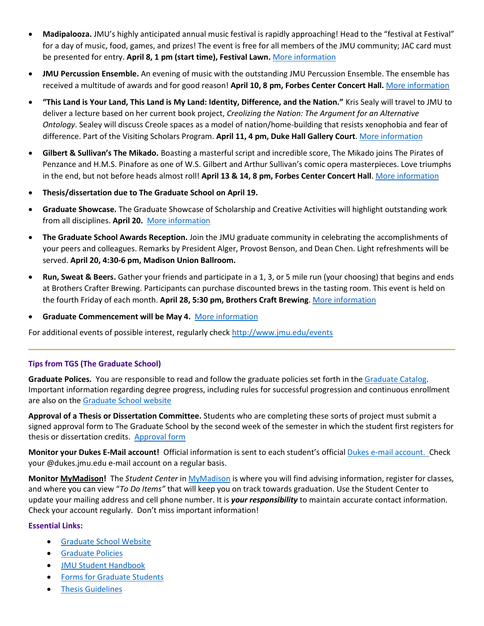- **Madipalooza.** JMU's highly anticipated annual music festival is rapidly approaching! Head to the "festival at Festival" for a day of music, food, games, and prizes! The event is free for all members of the JMU community; JAC card must be presented for entry. **April 8, 1 pm (start time), Festival Lawn.** [More information](https://www.facebook.com/Madipalooza)
- **JMU Percussion Ensemble.** An evening of music with the outstanding JMU Percussion Ensemble. The ensemble has received a multitude of awards and for good reason! **April 10, 8 pm, Forbes Center Concert Hall.** [More information](http://www.jmu.edu/forbescenter/events/2017/04/10-percussion-ensemble.shtml)
- **"This Land is Your Land, This Land is My Land: Identity, Difference, and the Nation."** Kris Sealy will travel to JMU to deliver a lecture based on her current book project, *Creolizing the Nation: The Argument for an Alternative Ontology*. Sealey will discuss Creole spaces as a model of nation/home-building that resists xenophobia and fear of difference. Part of the Visiting Scholars Program. **April 11, 4 pm, Duke Hall Gallery Court**[. More information](http://www.jmu.edu/events/furiousflower/2017/04/11-sealey.shtml)
- **Gilbert & Sullivan's The Mikado.** Boasting a masterful script and incredible score, The Mikado joins The Pirates of Penzance and H.M.S. Pinafore as one of W.S. Gilbert and Arthur Sullivan's comic opera masterpieces. Love triumphs in the end, but not before heads almost roll! **April 13 & 14, 8 pm, Forbes Center Concert Hall**. [More information](http://www.jmu.edu/events/forbescenter/2017/04/13-mikado.shtml#sthash.3CdPHqeg.dpuf)
- **Thesis/dissertation due to The Graduate School on April 19.**
- **Graduate Showcase.** The Graduate Showcase of Scholarship and Creative Activities will highlight outstanding work from all disciplines. **April 20.** [More information](http://www.jmu.edu/grad/GraduateShowcase/Showcase2017.shtml)
- **The Graduate School Awards Reception.** Join the JMU graduate community in celebrating the accomplishments of your peers and colleagues. Remarks by President Alger, Provost Benson, and Dean Chen. Light refreshments will be served. **April 20, 4:30-6 pm, Madison Union Ballroom.**
- **Run, Sweat & Beers.** Gather your friends and participate in a 1, 3, or 5 mile run (your choosing) that begins and ends at Brothers Crafter Brewing. Participants can purchase discounted brews in the tasting room. This event is held on the fourth Friday of each month. **April 28, 5:30 pm, Brothers Craft Brewing**. [More information](https://tockify.com/downtownharrisonburg/detail/578/1493415000000/1)
- **Graduate Commencement will be May 4.** [More information](http://www.jmu.edu/commencement/)

For additional events of possible interest, regularly check<http://www.jmu.edu/events>

### **Tips from TGS (The Graduate School)**

**Graduate Polices.** You are responsible to read and follow the graduate policies set forth in th[e Graduate Catalog.](http://jmu.edu/catalog) Important information regarding degree progress, including rules for successful progression and continuous enrollment are also on the [Graduate School website](http://www.jmu.edu/grad/current-students/degree-progress/beginning.shtml)

**Approval of a Thesis or Dissertation Committee.** Students who are completing these sorts of project must submit a signed approval form to The Graduate School by the second week of the semester in which the student first registers for thesis or dissertation credits. [Approval form](http://www.jmu.edu/grad/_files/CommitteeApprovalForm2014-15.pdf)

**Monitor your Dukes E-Mail account!** Official information is sent to each student's officia[l Dukes e-mail account.](http://www.jmu.edu/computing/helpdesk/selfhelp/DukesEmail.shtml) Check your @dukes.jmu.edu e-mail account on a regular basis.

**Monitor [MyMadison!](http://mymadison.jmu.edu/)** The *Student Center* i[n MyMadison](http://mymadison.jmu.edu/) is where you will find advising information, register for classes, and where you can view "*To Do Items"* that will keep you on track towards graduation. Use the Student Center to update your mailing address and cell phone number. It is *your responsibility* to maintain accurate contact information. Check your account regularly. Don't miss important information!

#### **Essential Links:**

- **[Graduate School Website](http://www.jmu.edu/grad)**
- **•** [Graduate Policies](http://www.jmu.edu/catalog/index.shtml)
- [JMU Student Handbook](https://www.jmu.edu/osarp/handbook/index.shtml)
- [Forms for Graduate Students](http://www.jmu.edu/grad/current-students/graduate-forms.shtml)
- **•** [Thesis Guidelines](http://www.jmu.edu/grad/current-students/thesis-dissertation/information.shtml)